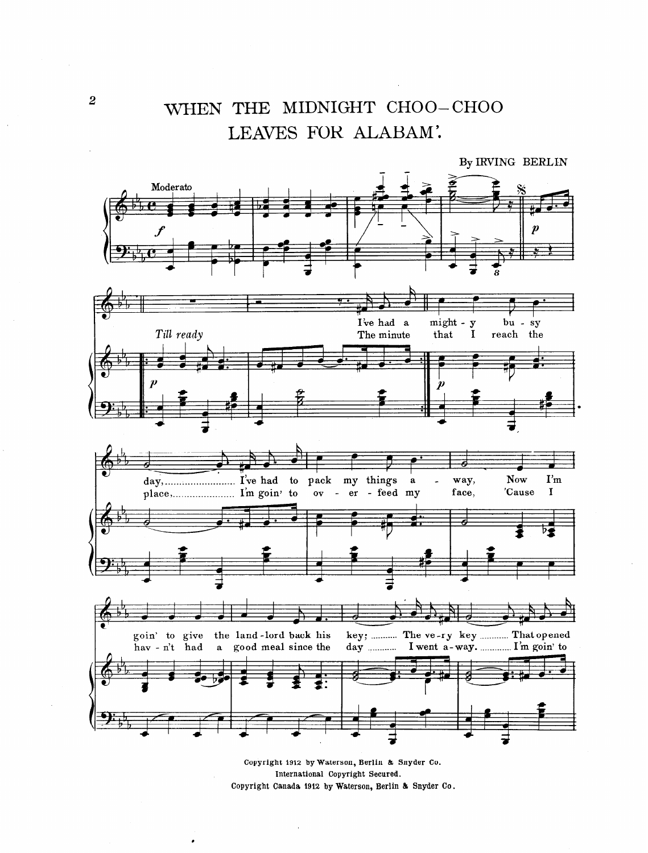## WHEN THE MIDNIGHT CHOO-CHOO LEAVES FOR ALABAM'.

By IRVING BERLIN Moderato I've had a might - y bu - sy Till ready The minute that  $\mathbf I$ reach the day, I've had to pack my things  $\mathbf{I}'\mathbf{m}$ **Now** way,  $\mathbf a$  $\overline{a}$  $\mathbf I$ - feed my face, 'Cause  $\overline{\mathbf{O}}\overline{\mathbf{V}}$  $er$ key; ........... The ve-ry key ............ That opened goin' to give the land-lord back his I went a-way. ............. I'm goin' to hav - n't had a good meal since the day ...........

> Copyright 1912 by Waterson, Berlin & Snyder Co. International Copyright Secured. Copyright Canada 1912 by Waterson, Berlin & Snyder Co.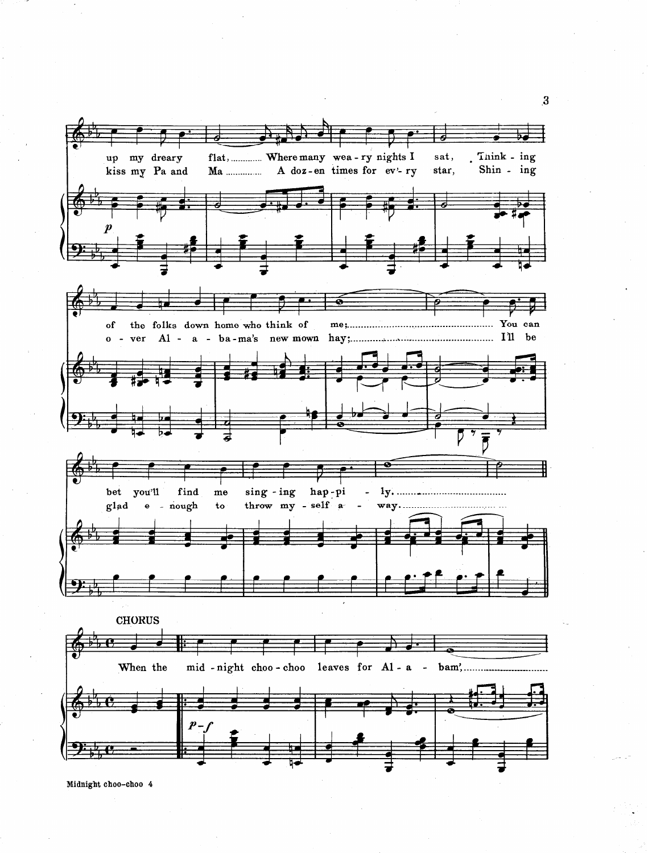

Midnight choo-choo 4

.3

.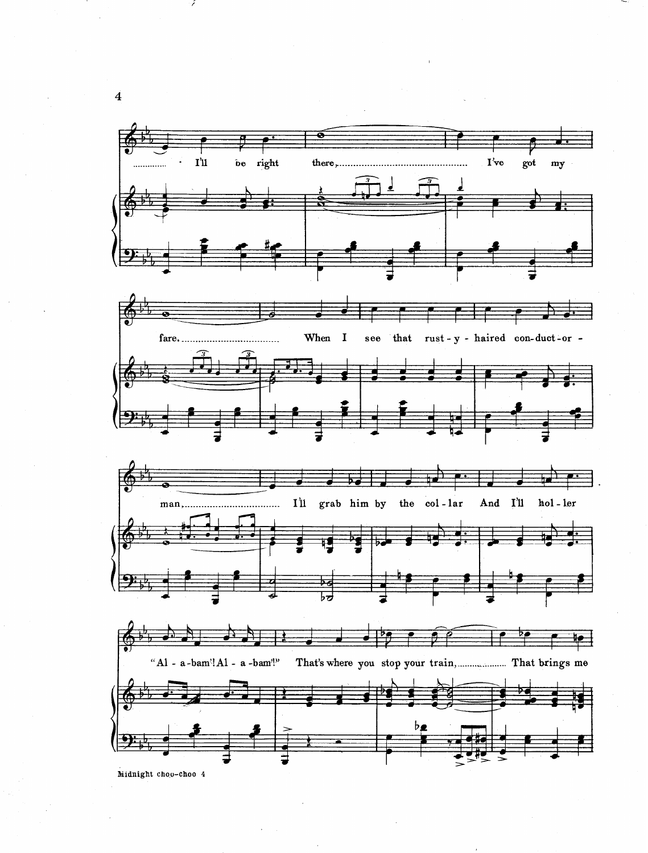





Midnight choo-choo 4